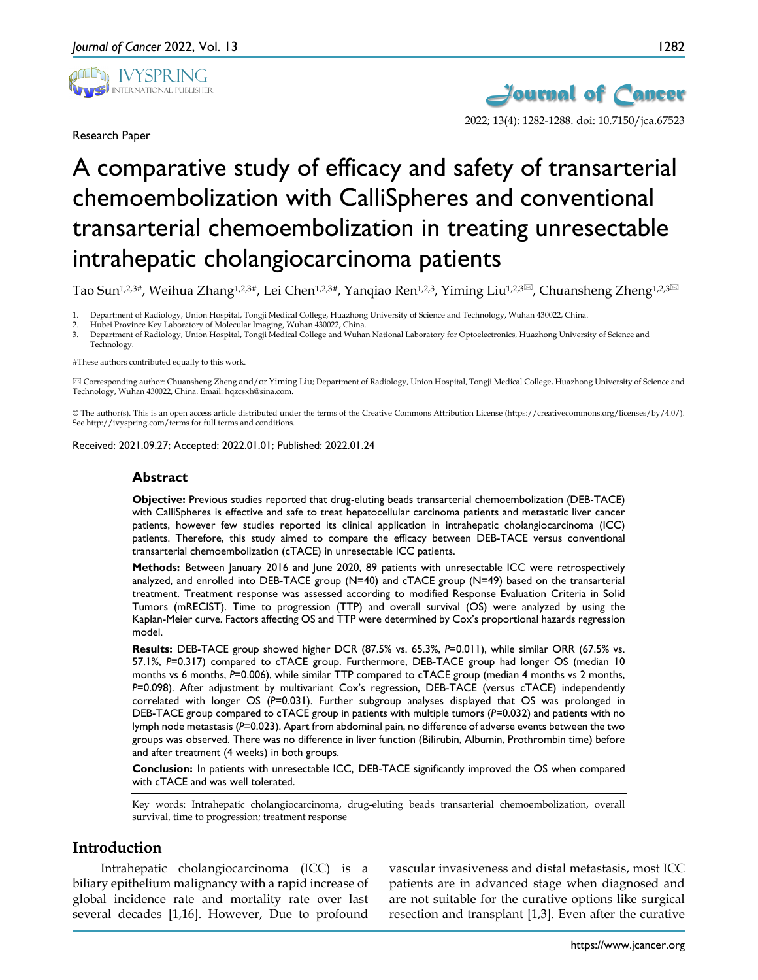

Research Paper



# A comparative study of efficacy and safety of transarterial chemoembolization with CalliSpheres and conventional transarterial chemoembolization in treating unresectable intrahepatic cholangiocarcinoma patients

Tao Sun<sup>1,2,3#</sup>, Weihua Zhang<sup>1,2,3#</sup>, Lei Chen<sup>1,2,3#</sup>, Yanqiao Ren<sup>1,2,3</sup>, Yiming Liu<sup>1,2,3⊠</sup>, Chuansheng Zheng<sup>1,2,3⊠</sup>

1. Department of Radiology, Union Hospital, Tongji Medical College, Huazhong University of Science and Technology, Wuhan 430022, China.

2. Hubei Province Key Laboratory of Molecular Imaging, Wuhan 430022, China.<br>3. Department of Radiology, Union Hospital, Tongii Medical College and Wuha

3. Department of Radiology, Union Hospital, Tongji Medical College and Wuhan National Laboratory for Optoelectronics, Huazhong University of Science and Technology.

#These authors contributed equally to this work.

 Corresponding author: Chuansheng Zheng and/or Yiming Liu; Department of Radiology, Union Hospital, Tongji Medical College, Huazhong University of Science and Technology, Wuhan 430022, China. Email: hqzcsxh@sina.com.

© The author(s). This is an open access article distributed under the terms of the Creative Commons Attribution License (https://creativecommons.org/licenses/by/4.0/). See http://ivyspring.com/terms for full terms and conditions.

Received: 2021.09.27; Accepted: 2022.01.01; Published: 2022.01.24

## **Abstract**

**Objective:** Previous studies reported that drug-eluting beads transarterial chemoembolization (DEB-TACE) with CalliSpheres is effective and safe to treat hepatocellular carcinoma patients and metastatic liver cancer patients, however few studies reported its clinical application in intrahepatic cholangiocarcinoma (ICC) patients. Therefore, this study aimed to compare the efficacy between DEB-TACE versus conventional transarterial chemoembolization (cTACE) in unresectable ICC patients.

**Methods:** Between January 2016 and June 2020, 89 patients with unresectable ICC were retrospectively analyzed, and enrolled into DEB-TACE group (N=40) and cTACE group (N=49) based on the transarterial treatment. Treatment response was assessed according to modified Response Evaluation Criteria in Solid Tumors (mRECIST). Time to progression (TTP) and overall survival (OS) were analyzed by using the Kaplan-Meier curve. Factors affecting OS and TTP were determined by Cox's proportional hazards regression model.

**Results:** DEB-TACE group showed higher DCR (87.5% vs. 65.3%, *P*=0.011), while similar ORR (67.5% vs. 57.1%, *P*=0.317) compared to cTACE group. Furthermore, DEB-TACE group had longer OS (median 10 months vs 6 months, *P*=0.006), while similar TTP compared to cTACE group (median 4 months vs 2 months, *P*=0.098). After adjustment by multivariant Cox's regression, DEB-TACE (versus cTACE) independently correlated with longer OS (*P*=0.031). Further subgroup analyses displayed that OS was prolonged in DEB-TACE group compared to cTACE group in patients with multiple tumors (*P*=0.032) and patients with no lymph node metastasis (*P*=0.023). Apart from abdominal pain, no difference of adverse events between the two groups was observed. There was no difference in liver function (Bilirubin, Albumin, Prothrombin time) before and after treatment (4 weeks) in both groups.

**Conclusion:** In patients with unresectable ICC, DEB-TACE significantly improved the OS when compared with cTACE and was well tolerated.

Key words: Intrahepatic cholangiocarcinoma, drug-eluting beads transarterial chemoembolization, overall survival, time to progression; treatment response

# **Introduction**

Intrahepatic cholangiocarcinoma (ICC) is a biliary epithelium malignancy with a rapid increase of global incidence rate and mortality rate over last several decades [1,16]. However, Due to profound

vascular invasiveness and distal metastasis, most ICC patients are in advanced stage when diagnosed and are not suitable for the curative options like surgical resection and transplant [1,3]. Even after the curative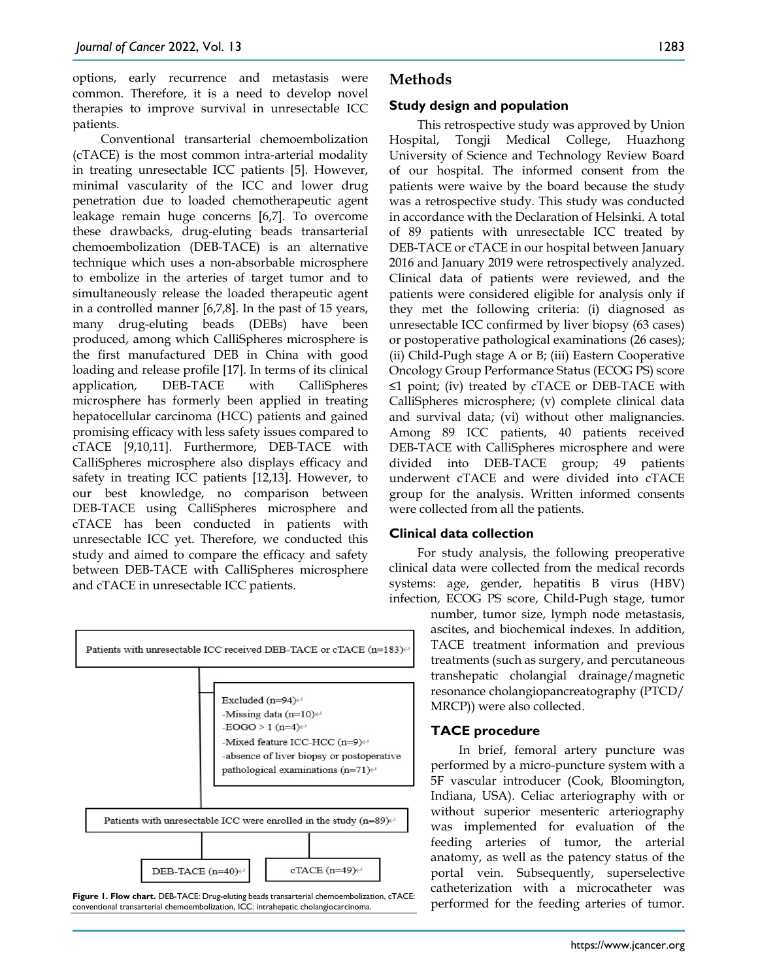options, early recurrence and metastasis were common. Therefore, it is a need to develop novel therapies to improve survival in unresectable ICC patients.

Conventional transarterial chemoembolization (cTACE) is the most common intra-arterial modality in treating unresectable ICC patients [5]. However, minimal vascularity of the ICC and lower drug penetration due to loaded chemotherapeutic agent leakage remain huge concerns [6,7]. To overcome these drawbacks, drug-eluting beads transarterial chemoembolization (DEB-TACE) is an alternative technique which uses a non-absorbable microsphere to embolize in the arteries of target tumor and to simultaneously release the loaded therapeutic agent in a controlled manner [6,7,8]. In the past of 15 years, many drug-eluting beads (DEBs) have been produced, among which CalliSpheres microsphere is the first manufactured DEB in China with good loading and release profile [17]. In terms of its clinical application, DEB-TACE with CalliSpheres microsphere has formerly been applied in treating hepatocellular carcinoma (HCC) patients and gained promising efficacy with less safety issues compared to cTACE [9,10,11]. Furthermore, DEB-TACE with CalliSpheres microsphere also displays efficacy and safety in treating ICC patients [12,13]. However, to our best knowledge, no comparison between DEB-TACE using CalliSpheres microsphere and cTACE has been conducted in patients with unresectable ICC yet. Therefore, we conducted this study and aimed to compare the efficacy and safety between DEB-TACE with CalliSpheres microsphere and cTACE in unresectable ICC patients.



performed for the feeding arteries of tumor. **Figure 1. Flow chart.** DEB-TACE: Drug-eluting beads transarterial chemoembolization, cTACE: conventional transarterial chemoembolization, ICC: intrahepatic cholangiocarcinoma.

# **Methods**

## **Study design and population**

This retrospective study was approved by Union Hospital, Tongji Medical College, Huazhong University of Science and Technology Review Board of our hospital. The informed consent from the patients were waive by the board because the study was a retrospective study. This study was conducted in accordance with the Declaration of Helsinki. A total of 89 patients with unresectable ICC treated by DEB-TACE or cTACE in our hospital between January 2016 and January 2019 were retrospectively analyzed. Clinical data of patients were reviewed, and the patients were considered eligible for analysis only if they met the following criteria: (i) diagnosed as unresectable ICC confirmed by liver biopsy (63 cases) or postoperative pathological examinations (26 cases); (ii) Child-Pugh stage A or B; (iii) Eastern Cooperative Oncology Group Performance Status (ECOG PS) score  $\leq 1$  point; (iv) treated by cTACE or DEB-TACE with CalliSpheres microsphere; (v) complete clinical data and survival data; (vi) without other malignancies. Among 89 ICC patients, 40 patients received DEB-TACE with CalliSpheres microsphere and were divided into DEB-TACE group; 49 patients underwent cTACE and were divided into cTACE group for the analysis. Written informed consents were collected from all the patients.

## **Clinical data collection**

For study analysis, the following preoperative clinical data were collected from the medical records systems: age, gender, hepatitis B virus (HBV) infection, ECOG PS score, Child-Pugh stage, tumor

number, tumor size, lymph node metastasis, ascites, and biochemical indexes. In addition, TACE treatment information and previous treatments (such as surgery, and percutaneous transhepatic cholangial drainage/magnetic resonance cholangiopancreatography (PTCD/ MRCP)) were also collected.

# **TACE procedure**

In brief, femoral artery puncture was performed by a micro-puncture system with a 5F vascular introducer (Cook, Bloomington, Indiana, USA). Celiac arteriography with or without superior mesenteric arteriography was implemented for evaluation of the feeding arteries of tumor, the arterial anatomy, as well as the patency status of the portal vein. Subsequently, superselective catheterization with a microcatheter was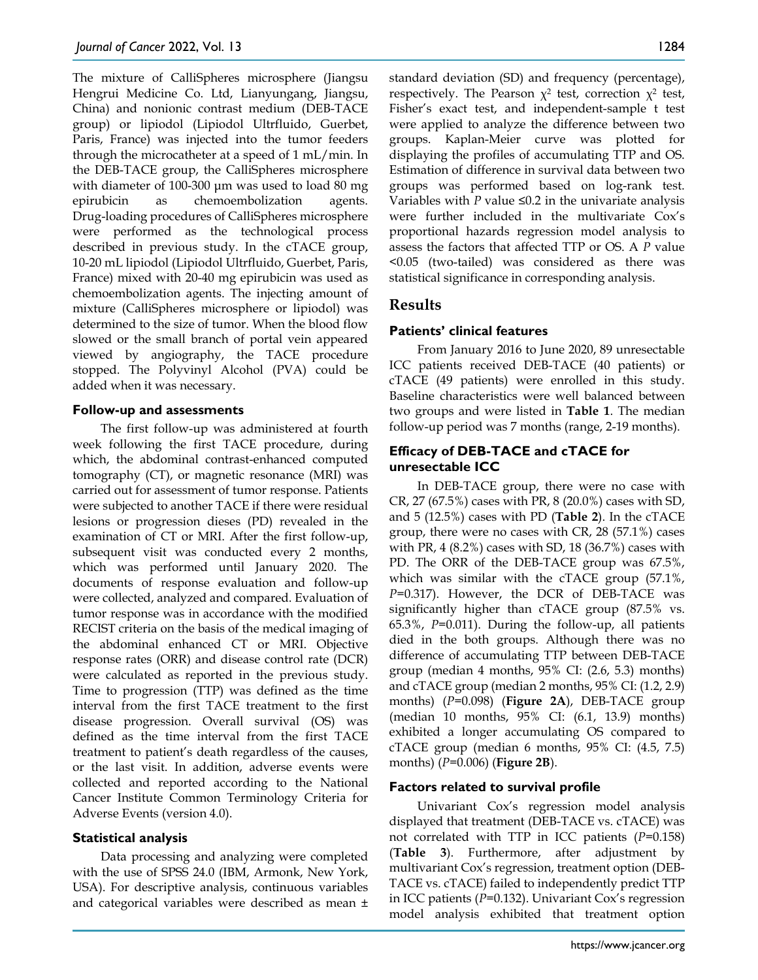The mixture of CalliSpheres microsphere (Jiangsu Hengrui Medicine Co. Ltd, Lianyungang, Jiangsu, China) and nonionic contrast medium (DEB-TACE group) or lipiodol (Lipiodol Ultrfluido, Guerbet, Paris, France) was injected into the tumor feeders through the microcatheter at a speed of 1 mL/min. In the DEB-TACE group, the CalliSpheres microsphere with diameter of 100-300 μm was used to load 80 mg epirubicin as chemoembolization agents. Drug-loading procedures of CalliSpheres microsphere were performed as the technological process described in previous study. In the cTACE group, 10-20 mL lipiodol (Lipiodol Ultrfluido, Guerbet, Paris, France) mixed with 20-40 mg epirubicin was used as chemoembolization agents. The injecting amount of mixture (CalliSpheres microsphere or lipiodol) was determined to the size of tumor. When the blood flow slowed or the small branch of portal vein appeared viewed by angiography, the TACE procedure stopped. The Polyvinyl Alcohol (PVA) could be added when it was necessary.

## **Follow-up and assessments**

The first follow-up was administered at fourth week following the first TACE procedure, during which, the abdominal contrast-enhanced computed tomography (CT), or magnetic resonance (MRI) was carried out for assessment of tumor response. Patients were subjected to another TACE if there were residual lesions or progression dieses (PD) revealed in the examination of CT or MRI. After the first follow-up, subsequent visit was conducted every 2 months, which was performed until January 2020. The documents of response evaluation and follow-up were collected, analyzed and compared. Evaluation of tumor response was in accordance with the modified RECIST criteria on the basis of the medical imaging of the abdominal enhanced CT or MRI. Objective response rates (ORR) and disease control rate (DCR) were calculated as reported in the previous study. Time to progression (TTP) was defined as the time interval from the first TACE treatment to the first disease progression. Overall survival (OS) was defined as the time interval from the first TACE treatment to patient's death regardless of the causes, or the last visit. In addition, adverse events were collected and reported according to the National Cancer Institute Common Terminology Criteria for Adverse Events (version 4.0).

## **Statistical analysis**

Data processing and analyzing were completed with the use of SPSS 24.0 (IBM, Armonk, New York, USA). For descriptive analysis, continuous variables and categorical variables were described as mean ± standard deviation (SD) and frequency (percentage), respectively. The Pearson  $\chi^2$  test, correction  $\chi^2$  test, Fisher's exact test, and independent-sample t test were applied to analyze the difference between two groups. Kaplan-Meier curve was plotted for displaying the profiles of accumulating TTP and OS. Estimation of difference in survival data between two groups was performed based on log-rank test. Variables with  $P$  value  $\leq 0.2$  in the univariate analysis were further included in the multivariate Cox's proportional hazards regression model analysis to assess the factors that affected TTP or OS. A *P* value <0.05 (two-tailed) was considered as there was statistical significance in corresponding analysis.

# **Results**

# **Patients' clinical features**

From January 2016 to June 2020, 89 unresectable ICC patients received DEB-TACE (40 patients) or cTACE (49 patients) were enrolled in this study. Baseline characteristics were well balanced between two groups and were listed in **Table 1**. The median follow-up period was 7 months (range, 2-19 months).

## **Efficacy of DEB-TACE and cTACE for unresectable ICC**

In DEB-TACE group, there were no case with CR, 27 (67.5%) cases with PR, 8 (20.0%) cases with SD, and 5 (12.5%) cases with PD (**Table 2**). In the cTACE group, there were no cases with CR, 28 (57.1%) cases with PR, 4  $(8.2%)$  cases with SD, 18  $(36.7%)$  cases with PD. The ORR of the DEB-TACE group was 67.5%, which was similar with the cTACE group (57.1%, *P*=0.317). However, the DCR of DEB-TACE was significantly higher than cTACE group (87.5% vs. 65.3%, *P*=0.011). During the follow-up, all patients died in the both groups. Although there was no difference of accumulating TTP between DEB-TACE group (median 4 months, 95% CI: (2.6, 5.3) months) and cTACE group (median 2 months, 95% CI: (1.2, 2.9) months) (*P*=0.098) (**Figure 2A**), DEB-TACE group (median 10 months, 95% CI: (6.1, 13.9) months) exhibited a longer accumulating OS compared to cTACE group (median 6 months, 95% CI: (4.5, 7.5) months) (*P*=0.006) (**Figure 2B**).

## **Factors related to survival profile**

Univariant Cox's regression model analysis displayed that treatment (DEB-TACE vs. cTACE) was not correlated with TTP in ICC patients (*P*=0.158) (**Table 3**). Furthermore, after adjustment by multivariant Cox's regression, treatment option (DEB-TACE vs. cTACE) failed to independently predict TTP in ICC patients (*P*=0.132). Univariant Cox's regression model analysis exhibited that treatment option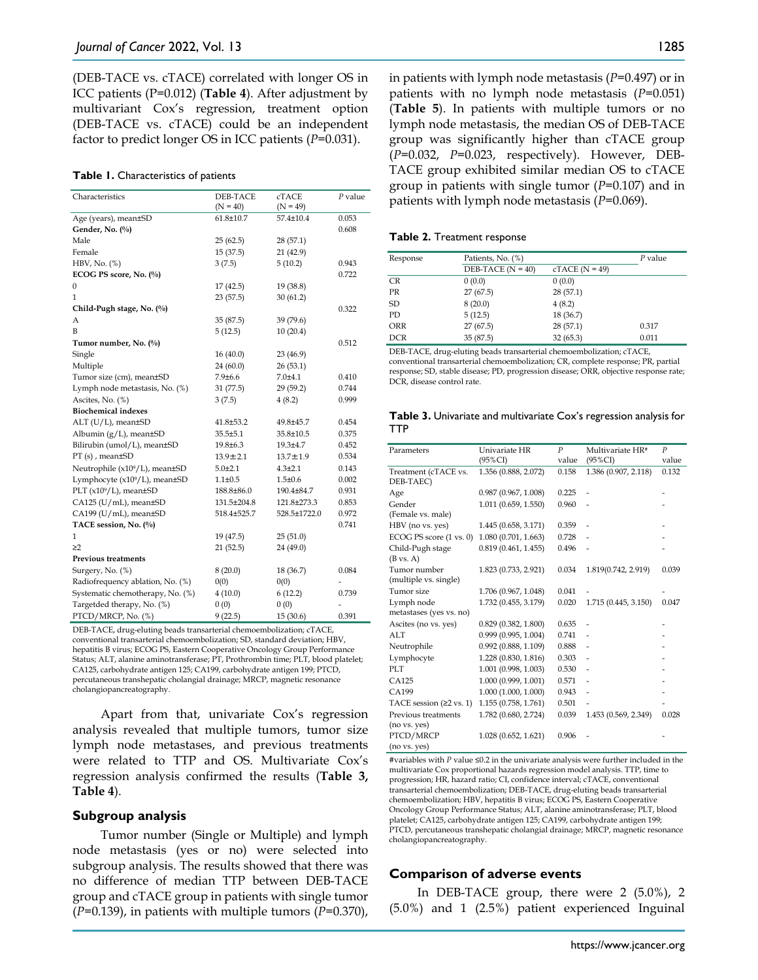(DEB-TACE vs. cTACE) correlated with longer OS in ICC patients (P=0.012) (**Table 4**). After adjustment by multivariant Cox's regression, treatment option (DEB-TACE vs. cTACE) could be an independent factor to predict longer OS in ICC patients (*P*=0.031).

#### **Table 1.** Characteristics of patients

| Characteristics                            | DEB-TACE<br>$(N = 40)$ | cTACE                   | $P$ value |
|--------------------------------------------|------------------------|-------------------------|-----------|
| Age (years), mean±SD                       | $61.8{\pm}10.7$        | $(N = 49)$<br>57.4±10.4 | 0.053     |
| Gender, No. (%)                            |                        |                         | 0.608     |
| Male                                       |                        |                         |           |
|                                            | 25(62.5)               | 28 (57.1)               |           |
| Female                                     | 15(37.5)               | 21 (42.9)               |           |
| HBV, No. (%)                               | 3(7.5)                 | 5(10.2)                 | 0.943     |
| ECOG PS score, No. (%)                     |                        |                         | 0.722     |
| $\mathbf{0}$                               | 17(42.5)               | 19 (38.8)               |           |
| 1                                          | 23(57.5)               | 30(61.2)                |           |
| Child-Pugh stage, No. (%)                  |                        |                         | 0.322     |
| А                                          | 35 (87.5)              | 39 (79.6)               |           |
| B                                          | 5(12.5)                | 10(20.4)                |           |
| Tumor number, No. (%)                      |                        |                         | 0.512     |
| Single                                     | 16(40.0)               | 23 (46.9)               |           |
| Multiple                                   | 24(60.0)               | 26(53.1)                |           |
| Tumor size (cm), mean±SD                   | $7.9{\pm}6.6$          | $7.0 + 4.1$             | 0.410     |
| Lymph node metastasis, No. (%)             | 31(77.5)               | 29 (59.2)               | 0.744     |
| Ascites, No. (%)                           | 3(7.5)                 | 4(8.2)                  | 0.999     |
| <b>Biochemical indexes</b>                 |                        |                         |           |
| ALT (U/L), mean±SD                         | $41.8 \pm 53.2$        | 49.8±45.7               | 0.454     |
| Albumin $(g/L)$ , mean±SD                  | $35.5 \pm 5.1$         | 35.8±10.5               | 0.375     |
| Bilirubin (umol/L), mean±SD                | 19.8±6.3               | 19.3±4.7                | 0.452     |
| PT (s), mean±SD                            | 13.9±2.1               | $13.7 \pm 1.9$          | 0.534     |
| Neutrophile (x10 <sup>9</sup> /L), mean±SD | $5.0 + 2.1$            | $4.3{\pm}2.1$           | 0.143     |
| Lymphocyte (x109/L), mean±SD               | $1.1 \pm 0.5$          | $1.5 \pm 0.6$           | 0.002     |
| PLT (x109/L), mean±SD                      | 188.8±86.0             | 190.4±84.7              | 0.931     |
| CA125 (U/mL), mean±SD                      | 131.5±204.8            | 121.8±273.3             | 0.853     |
| CA199 (U/mL), mean±SD                      | 518.4±525.7            | 528.5±1722.0            | 0.972     |
| TACE session, No. (%)                      |                        |                         | 0.741     |
| 1                                          | 19 (47.5)              | 25(51.0)                |           |
| $\geq$ 2                                   | 21(52.5)               | 24 (49.0)               |           |
| <b>Previous treatments</b>                 |                        |                         |           |
| Surgery, No. (%)                           | 8(20.0)                | 18 (36.7)               | 0.084     |
| Radiofrequency ablation, No. (%)           | 0(0)                   | 0(0)                    |           |
| Systematic chemotherapy, No. (%)           | 4(10.0)                | 6(12.2)                 | 0.739     |
| Targetded therapy, No. (%)                 | 0(0)                   | 0(0)                    |           |
| PTCD/MRCP, No. (%)                         | 9(22.5)                | 15 (30.6)               | 0.391     |

DEB-TACE, drug-eluting beads transarterial chemoembolization; cTACE, conventional transarterial chemoembolization; SD, standard deviation; HBV, hepatitis B virus; ECOG PS, Eastern Cooperative Oncology Group Performance Status; ALT, alanine aminotransferase; PT, Prothrombin time; PLT, blood platelet; CA125, carbohydrate antigen 125; CA199, carbohydrate antigen 199; PTCD, percutaneous transhepatic cholangial drainage; MRCP, magnetic resonance cholangiopancreatography.

Apart from that, univariate Cox's regression analysis revealed that multiple tumors, tumor size lymph node metastases, and previous treatments were related to TTP and OS. Multivariate Cox's regression analysis confirmed the results (**Table 3, Table 4**).

#### **Subgroup analysis**

Tumor number (Single or Multiple) and lymph node metastasis (yes or no) were selected into subgroup analysis. The results showed that there was no difference of median TTP between DEB-TACE group and cTACE group in patients with single tumor (*P*=0.139), in patients with multiple tumors (*P*=0.370), in patients with lymph node metastasis (*P*=0.497) or in patients with no lymph node metastasis (*P*=0.051) (**Table 5**). In patients with multiple tumors or no lymph node metastasis, the median OS of DEB-TACE group was significantly higher than cTACE group (*P*=0.032, *P*=0.023, respectively). However, DEB-TACE group exhibited similar median OS to cTACE group in patients with single tumor (*P*=0.107) and in patients with lymph node metastasis (*P*=0.069).

#### **Table 2.** Treatment response

| Response   | Patients, No. (%)   |                  | P value |
|------------|---------------------|------------------|---------|
|            | DEB-TACE $(N = 40)$ | $cTACE (N = 49)$ |         |
| <b>CR</b>  | 0(0.0)              | 0(0.0)           |         |
| PR         | 27(67.5)            | 28(57.1)         |         |
| <b>SD</b>  | 8(20.0)             | 4(8.2)           |         |
| PD.        | 5(12.5)             | 18 (36.7)        |         |
| <b>ORR</b> | 27(67.5)            | 28(57.1)         | 0.317   |
| <b>DCR</b> | 35 (87.5)           | 32(65.3)         | 0.011   |

DEB-TACE, drug-eluting beads transarterial chemoembolization; cTACE, conventional transarterial chemoembolization; CR, complete response; PR, partial response; SD, stable disease; PD, progression disease; ORR, objective response rate; DCR, disease control rate.

**Table 3.** Univariate and multivariate Cox's regression analysis for TTP

|                                    |                      | P     |                      | $\boldsymbol{P}$ |
|------------------------------------|----------------------|-------|----------------------|------------------|
| Parameters                         | Univariate HR        |       | Multivariate HR#     | value            |
|                                    | $(95\%CI)$           | value | $(95\%CI)$           |                  |
| Treatment (cTACE vs.               | 1.356 (0.888, 2.072) | 0.158 | 1.386 (0.907, 2.118) | 0.132            |
| DEB-TAEC)                          |                      |       |                      |                  |
| Age                                | 0.987(0.967, 1.008)  | 0.225 |                      |                  |
| Gender                             | 1.011 (0.659, 1.550) | 0.960 |                      |                  |
| (Female vs. male)                  |                      |       |                      |                  |
| HBV (no vs. yes)                   | 1.445 (0.658, 3.171) | 0.359 | ٠                    |                  |
| ECOG PS score (1 vs. 0)            | 1.080 (0.701, 1.663) | 0.728 |                      |                  |
| Child-Pugh stage                   | 0.819(0.461, 1.455)  | 0.496 | -                    |                  |
| $(B \text{ vs. } A)$               |                      |       |                      |                  |
| Tumor number                       | 1.823 (0.733, 2.921) | 0.034 | 1.819(0.742, 2.919)  | 0.039            |
| (multiple vs. single)              |                      |       |                      |                  |
| Tumor size                         | 1.706 (0.967, 1.048) | 0.041 |                      |                  |
| Lymph node                         | 1.732 (0.455, 3.179) | 0.020 | 1.715 (0.445, 3.150) | 0.047            |
| metastases (yes vs. no)            |                      |       |                      |                  |
| Ascites (no vs. yes)               | 0.829(0.382, 1.800)  | 0.635 | $\overline{a}$       |                  |
| ATT                                | 0.999(0.995, 1.004)  | 0.741 | ٠                    |                  |
| Neutrophile                        | 0.992(0.888, 1.109)  | 0.888 | $\overline{a}$       |                  |
| Lymphocyte                         | 1.228 (0.830, 1.816) | 0.303 | ÷,                   |                  |
| PLT                                | 1.001 (0.998, 1.003) | 0.530 | $\overline{a}$       |                  |
| CA125                              | 1.000 (0.999, 1.001) | 0.571 | ٠                    |                  |
| CA199                              | 1.000(1.000, 1.000)  | 0.943 | ÷,                   |                  |
| TACE session $(22 \text{ vs. } 1)$ | 1.155 (0.758, 1.761) | 0.501 |                      |                  |
| Previous treatments                | 1.782 (0.680, 2.724) | 0.039 | 1.453 (0.569, 2.349) | 0.028            |
| (no vs. yes)                       |                      |       |                      |                  |
| PTCD/MRCP                          | 1.028 (0.652, 1.621) | 0.906 |                      |                  |
| (no vs. yes)                       |                      |       |                      |                  |

#variables with *P* value ≤0.2 in the univariate analysis were further included in the multivariate Cox proportional hazards regression model analysis. TTP, time to progression; HR, hazard ratio; CI, confidence interval; cTACE, conventional transarterial chemoembolization; DEB-TACE, drug-eluting beads transarterial chemoembolization; HBV, hepatitis B virus; ECOG PS, Eastern Cooperative Oncology Group Performance Status; ALT, alanine aminotransferase; PLT, blood platelet; CA125, carbohydrate antigen 125; CA199, carbohydrate antigen 199; PTCD, percutaneous transhepatic cholangial drainage; MRCP, magnetic resonance cholangiopancreatography.

#### **Comparison of adverse events**

In DEB-TACE group, there were 2 (5.0%), 2 (5.0%) and 1 (2.5%) patient experienced Inguinal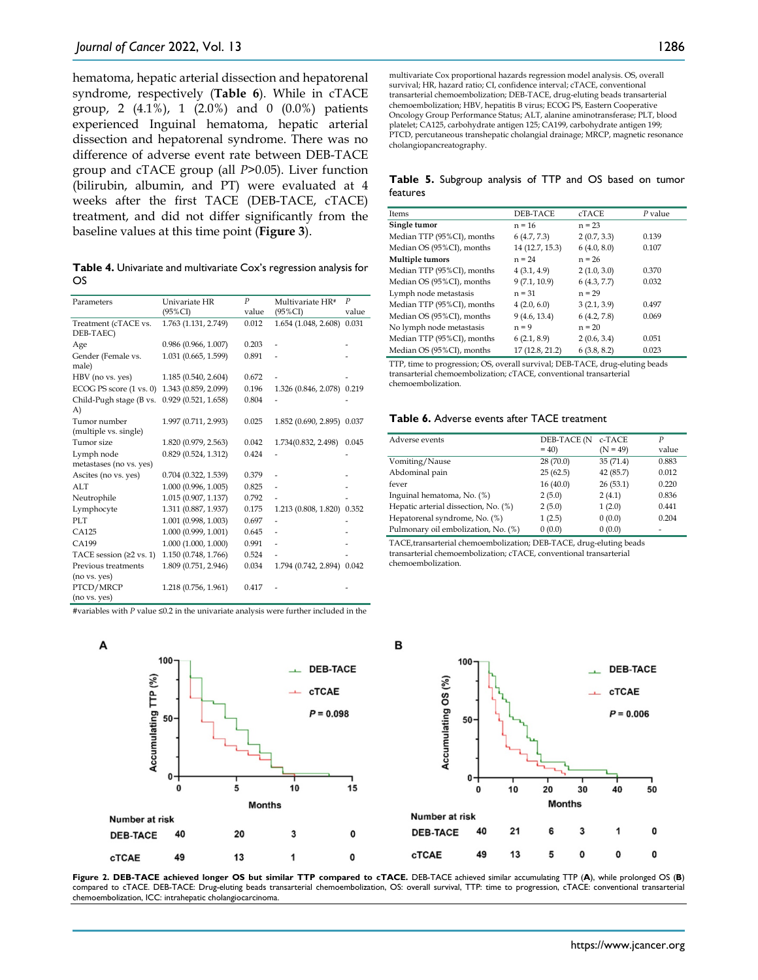hematoma, hepatic arterial dissection and hepatorenal syndrome, respectively (**Table 6**). While in cTACE group, 2 (4.1%), 1 (2.0%) and 0 (0.0%) patients experienced Inguinal hematoma, hepatic arterial dissection and hepatorenal syndrome. There was no difference of adverse event rate between DEB-TACE group and cTACE group (all *P*>0.05). Liver function (bilirubin, albumin, and PT) were evaluated at 4 weeks after the first TACE (DEB-TACE, cTACE) treatment, and did not differ significantly from the baseline values at this time point (**Figure 3**).

**Table 4.** Univariate and multivariate Cox's regression analysis for OS

| Parameters                         | Univariate HR          | P     | Multivariate HR#     | P     |
|------------------------------------|------------------------|-------|----------------------|-------|
|                                    | $(95\%CI)$             | value | $(95\%CI)$           | value |
| Treatment (cTACE vs.               | 1.763 (1.131, 2.749)   | 0.012 | 1.654 (1.048, 2.608) | 0.031 |
| DEB-TAEC)                          |                        |       |                      |       |
| Age                                | $0.986$ (0.966, 1.007) | 0.203 | ٠                    |       |
| Gender (Female vs.                 | 1.031 (0.665, 1.599)   | 0.891 |                      |       |
| male)                              |                        |       |                      |       |
| HBV (no vs. yes)                   | 1.185 (0.540, 2.604)   | 0.672 |                      |       |
| ECOG PS score (1 vs. 0)            | 1.343 (0.859, 2.099)   | 0.196 | 1.326 (0.846, 2.078) | 0.219 |
| Child-Pugh stage (B vs.            | 0.929(0.521, 1.658)    | 0.804 |                      |       |
| A)                                 |                        |       |                      |       |
| Tumor number                       | 1.997 (0.711, 2.993)   | 0.025 | 1.852(0.690, 2.895)  | 0.037 |
| (multiple vs. single)              |                        |       |                      |       |
| Tumor size                         | 1.820 (0.979, 2.563)   | 0.042 | 1.734(0.832, 2.498)  | 0.045 |
| Lymph node                         | 0.829(0.524, 1.312)    | 0.424 |                      |       |
| metastases (no vs. yes)            |                        |       |                      |       |
| Ascites (no vs. yes)               | 0.704 (0.322, 1.539)   | 0.379 | ä,                   |       |
| <b>ALT</b>                         | 1.000 (0.996, 1.005)   | 0.825 |                      |       |
| Neutrophile                        | 1.015 (0.907, 1.137)   | 0.792 |                      |       |
| Lymphocyte                         | 1.311 (0.887, 1.937)   | 0.175 | 1.213 (0.808, 1.820) | 0.352 |
| PLT                                | 1.001 (0.998, 1.003)   | 0.697 |                      |       |
| CA125                              | 1.000 (0.999, 1.001)   | 0.645 |                      |       |
| CA199                              | 1.000 (1.000, 1.000)   | 0.991 | ä,                   |       |
| TACE session $(22 \text{ vs. } 1)$ | 1.150 (0.748, 1.766)   | 0.524 |                      |       |
| Previous treatments                | 1.809 (0.751, 2.946)   | 0.034 | 1.794 (0.742, 2.894) | 0.042 |
| (no vs. yes)                       |                        |       |                      |       |
| PTCD/MRCP                          | 1.218 (0.756, 1.961)   | 0.417 |                      |       |
| (no vs. yes)                       |                        |       |                      |       |

#variables with *P* value ≤0.2 in the univariate analysis were further included in the

multivariate Cox proportional hazards regression model analysis. OS, overall survival; HR, hazard ratio; CI, confidence interval; cTACE, conventional transarterial chemoembolization; DEB-TACE, drug-eluting beads transarterial chemoembolization; HBV, hepatitis B virus; ECOG PS, Eastern Cooperative Oncology Group Performance Status; ALT, alanine aminotransferase; PLT, blood platelet; CA125, carbohydrate antigen 125; CA199, carbohydrate antigen 199; PTCD, percutaneous transhepatic cholangial drainage; MRCP, magnetic resonance cholangiopancreatography.

#### **Table 5.** Subgroup analysis of TTP and OS based on tumor features

| Items                      | DEB-TACE        | <b>cTACE</b> | $P$ value |
|----------------------------|-----------------|--------------|-----------|
| Single tumor               | $n = 16$        | $n = 23$     |           |
| Median TTP (95%CI), months | 6(4.7, 7.3)     | 2(0.7, 3.3)  | 0.139     |
| Median OS (95%CI), months  | 14 (12.7, 15.3) | 6(4.0, 8.0)  | 0.107     |
| Multiple tumors            | $n = 24$        | $n = 26$     |           |
| Median TTP (95%CI), months | 4(3.1, 4.9)     | 2(1.0, 3.0)  | 0.370     |
| Median OS (95%CI), months  | 9(7.1, 10.9)    | 6(4.3, 7.7)  | 0.032     |
| Lymph node metastasis      | $n = 31$        | $n = 29$     |           |
| Median TTP (95%CI), months | 4(2.0, 6.0)     | 3(2.1, 3.9)  | 0.497     |
| Median OS (95%CI), months  | 9(4.6, 13.4)    | 6(4.2, 7.8)  | 0.069     |
| No lymph node metastasis   | $n = 9$         | $n = 20$     |           |
| Median TTP (95%CI), months | 6(2.1, 8.9)     | 2(0.6, 3.4)  | 0.051     |
| Median OS (95%CI), months  | 17 (12.8, 21.2) | 6(3.8, 8.2)  | 0.023     |

TTP, time to progression; OS, overall survival; DEB-TACE, drug-eluting beads transarterial chemoembolization; cTACE, conventional transarterial chemoembolization.

#### **Table 6.** Adverse events after TACE treatment

| Adverse events                       | DEB-TACE (N<br>$= 40$ | c-TACE<br>$(N = 49)$ | Р<br>value |
|--------------------------------------|-----------------------|----------------------|------------|
| Vomiting/Nause                       | 28(70.0)              | 35(71.4)             | 0.883      |
| Abdominal pain                       | 25(62.5)              | 42 (85.7)            | 0.012      |
| fever                                | 16(40.0)              | 26(53.1)             | 0.220      |
| Inguinal hematoma, No. (%)           | 2(5.0)                | 2(4.1)               | 0.836      |
| Hepatic arterial dissection, No. (%) | 2(5.0)                | 1(2.0)               | 0.441      |
| Hepatorenal syndrome, No. (%)        | 1(2.5)                | 0(0.0)               | 0.204      |
| Pulmonary oil embolization, No. (%)  | 0(0.0)                | 0(0.0)               | ۰          |

TACE,transarterial chemoembolization; DEB-TACE, drug-eluting beads transarterial chemoembolization; cTACE, conventional transarterial chemoembolization.



**Figure 2. DEB-TACE achieved longer OS but similar TTP compared to cTACE.** DEB-TACE achieved similar accumulating TTP (**A**), while prolonged OS (**B**) compared to cTACE. DEB-TACE: Drug-eluting beads transarterial chemoembolization, OS: overall survival, TTP: time to progression, cTACE: conventional transarterial chemoembolization, ICC: intrahepatic cholangiocarcinoma.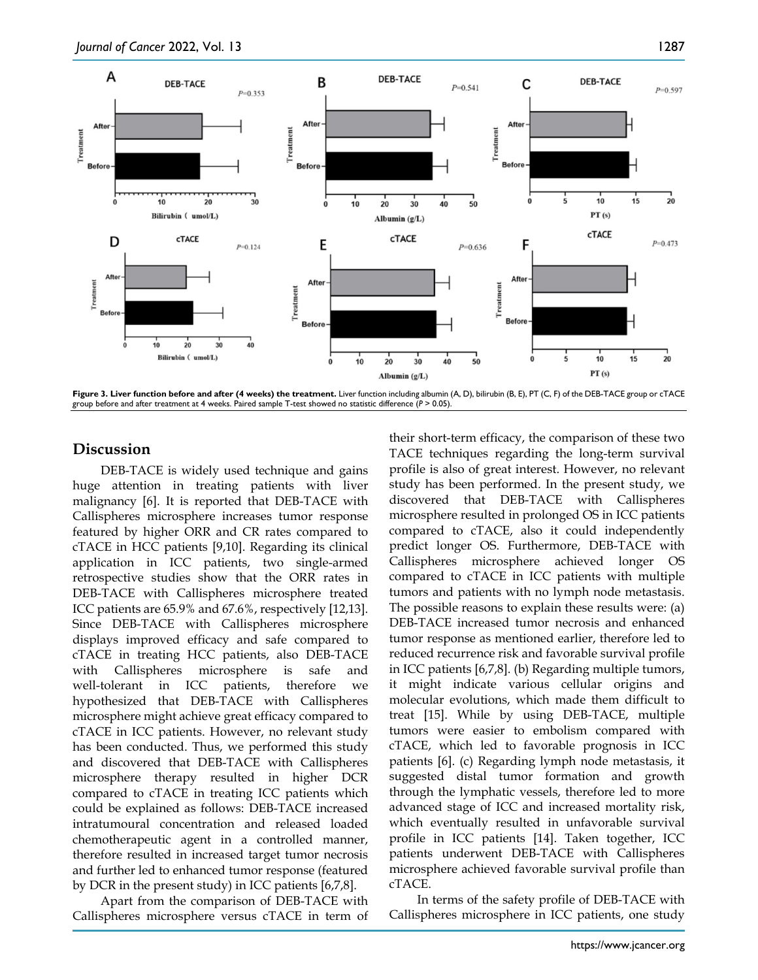

**Figure 3. Liver function before and after (4 weeks) the treatment.** Liver function including albumin (A, D), bilirubin (B, E), PT (C, F) of the DEB-TACE group or cTACE group before and after treatment at 4 weeks. Paired sample T-test showed no statistic difference  $(P > 0.05)$ 

# **Discussion**

DEB-TACE is widely used technique and gains huge attention in treating patients with liver malignancy [6]. It is reported that DEB-TACE with Callispheres microsphere increases tumor response featured by higher ORR and CR rates compared to cTACE in HCC patients [9,10]. Regarding its clinical application in ICC patients, two single-armed retrospective studies show that the ORR rates in DEB-TACE with Callispheres microsphere treated ICC patients are 65.9% and 67.6%, respectively [12,13]. Since DEB-TACE with Callispheres microsphere displays improved efficacy and safe compared to cTACE in treating HCC patients, also DEB-TACE with Callispheres microsphere is safe and well-tolerant in ICC patients, therefore we hypothesized that DEB-TACE with Callispheres microsphere might achieve great efficacy compared to cTACE in ICC patients. However, no relevant study has been conducted. Thus, we performed this study and discovered that DEB-TACE with Callispheres microsphere therapy resulted in higher DCR compared to cTACE in treating ICC patients which could be explained as follows: DEB-TACE increased intratumoural concentration and released loaded chemotherapeutic agent in a controlled manner, therefore resulted in increased target tumor necrosis and further led to enhanced tumor response (featured by DCR in the present study) in ICC patients [6,7,8].

Apart from the comparison of DEB-TACE with Callispheres microsphere versus cTACE in term of their short-term efficacy, the comparison of these two TACE techniques regarding the long-term survival profile is also of great interest. However, no relevant study has been performed. In the present study, we discovered that DEB-TACE with Callispheres microsphere resulted in prolonged OS in ICC patients compared to cTACE, also it could independently predict longer OS. Furthermore, DEB-TACE with Callispheres microsphere achieved longer OS compared to cTACE in ICC patients with multiple tumors and patients with no lymph node metastasis. The possible reasons to explain these results were: (a) DEB-TACE increased tumor necrosis and enhanced tumor response as mentioned earlier, therefore led to reduced recurrence risk and favorable survival profile in ICC patients [6,7,8]. (b) Regarding multiple tumors, it might indicate various cellular origins and molecular evolutions, which made them difficult to treat [15]. While by using DEB-TACE, multiple tumors were easier to embolism compared with cTACE, which led to favorable prognosis in ICC patients [6]. (c) Regarding lymph node metastasis, it suggested distal tumor formation and growth through the lymphatic vessels, therefore led to more advanced stage of ICC and increased mortality risk, which eventually resulted in unfavorable survival profile in ICC patients [14]. Taken together, ICC patients underwent DEB-TACE with Callispheres microsphere achieved favorable survival profile than cTACE.

In terms of the safety profile of DEB-TACE with Callispheres microsphere in ICC patients, one study